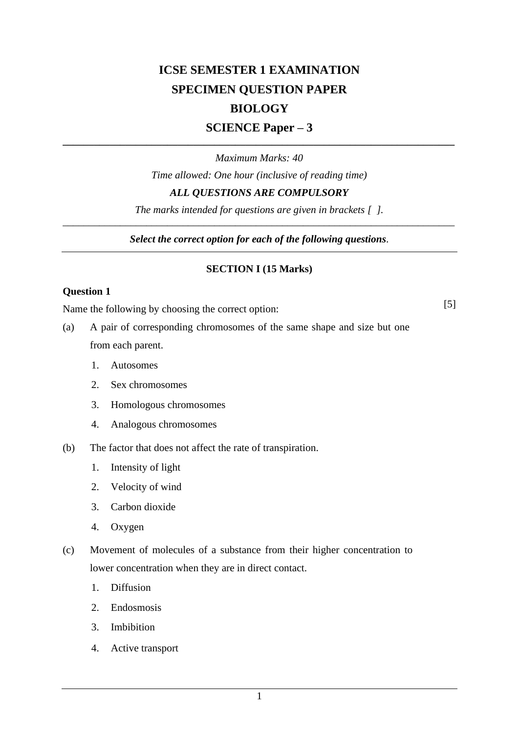# **ICSE SEMESTER 1 EXAMINATION SPECIMEN QUESTION PAPER BIOLOGY**

## **SCIENCE Paper – 3 \_\_\_\_\_\_\_\_\_\_\_\_\_\_\_\_\_\_\_\_\_\_\_\_\_\_\_\_\_\_\_\_\_\_\_\_\_\_\_\_\_\_\_\_\_\_\_\_\_\_\_\_\_\_\_\_\_\_\_\_\_\_\_\_\_\_\_\_\_\_\_\_\_\_\_**

*Maximum Marks: 40*

*Time allowed: One hour (inclusive of reading time)*

## *ALL QUESTIONS ARE COMPULSORY*

*The marks intended for questions are given in brackets [ ]. \_\_\_\_\_\_\_\_\_\_\_\_\_\_\_\_\_\_\_\_\_\_\_\_\_\_\_\_\_\_\_\_\_\_\_\_\_\_\_\_\_\_\_\_\_\_\_\_\_\_\_\_\_\_\_\_\_\_\_\_\_\_\_\_\_\_\_\_\_\_\_\_\_\_\_*

*Select the correct option for each of the following questions.*

#### **SECTION I (15 Marks)**

#### **Question 1**

Name the following by choosing the correct option: [5]

- (a) A pair of corresponding chromosomes of the same shape and size but one from each parent.
	- 1. Autosomes
	- 2. Sex chromosomes
	- 3. Homologous chromosomes
	- 4. Analogous chromosomes
- (b) The factor that does not affect the rate of transpiration.
	- 1. Intensity of light
	- 2. Velocity of wind
	- 3. Carbon dioxide
	- 4. Oxygen
- (c) Movement of molecules of a substance from their higher concentration to lower concentration when they are in direct contact.
	- 1. Diffusion
	- 2. Endosmosis
	- 3. Imbibition
	- 4. Active transport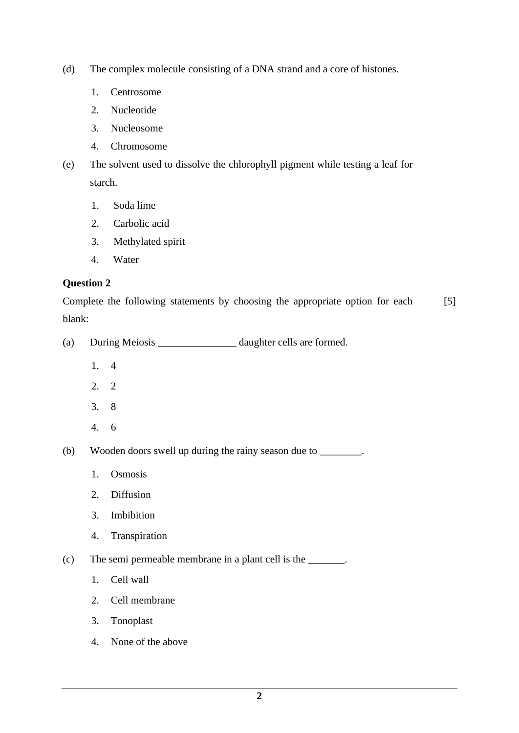- (d) The complex molecule consisting of a DNA strand and a core of histones.
	- 1. Centrosome
	- 2. Nucleotide
	- 3. Nucleosome
	- 4. Chromosome
- (e) The solvent used to dissolve the chlorophyll pigment while testing a leaf for starch.
	- 1. Soda lime
	- 2. Carbolic acid
	- 3. Methylated spirit
	- 4. Water

Complete the following statements by choosing the appropriate option for each blank: [5]

- (a) During Meiosis \_\_\_\_\_\_\_\_\_\_\_\_\_\_\_ daughter cells are formed.
	- 1. 4
	- 2. 2
	- 3. 8
	- 4. 6

(b) Wooden doors swell up during the rainy season due to \_\_\_\_\_\_\_\_.

- 1. Osmosis
- 2. Diffusion
- 3. Imbibition
- 4. Transpiration

(c) The semi permeable membrane in a plant cell is the \_\_\_\_\_\_\_.

- 1. Cell wall
- 2. Cell membrane
- 3. Tonoplast
- 4. None of the above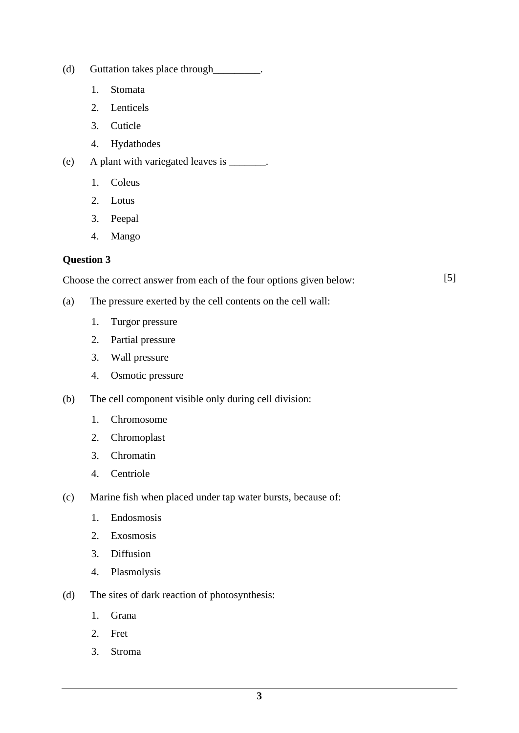- (d) Guttation takes place through\_\_\_\_\_\_\_\_\_.
	- 1. Stomata
	- 2. Lenticels
	- 3. Cuticle
	- 4. Hydathodes
- (e) A plant with variegated leaves is \_\_\_\_\_\_\_.
	- 1. Coleus
	- 2. Lotus
	- 3. Peepal
	- 4. Mango

Choose the correct answer from each of the four options given below: [5]

- (a) The pressure exerted by the cell contents on the cell wall:
	- 1. Turgor pressure
	- 2. Partial pressure
	- 3. Wall pressure
	- 4. Osmotic pressure
- (b) The cell component visible only during cell division:
	- 1. Chromosome
	- 2. Chromoplast
	- 3. Chromatin
	- 4. Centriole
- (c) Marine fish when placed under tap water bursts, because of:
	- 1. Endosmosis
	- 2. Exosmosis
	- 3. Diffusion
	- 4. Plasmolysis
- (d) The sites of dark reaction of photosynthesis:
	- 1. Grana
	- 2. Fret
	- 3. Stroma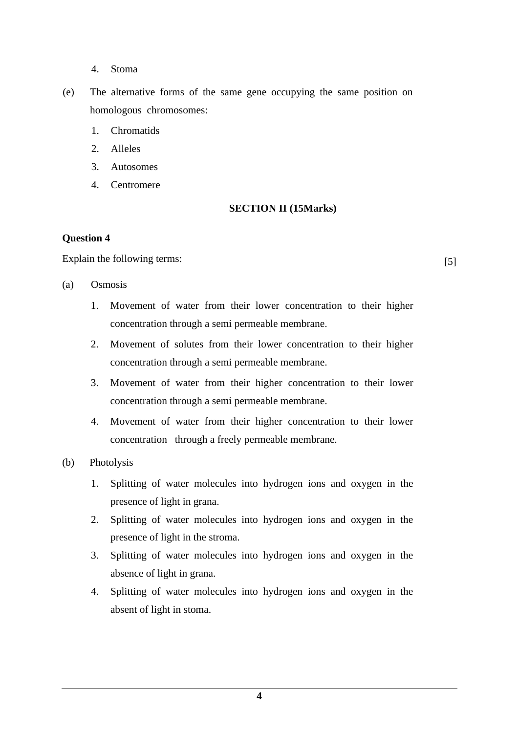- 4. Stoma
- (e) The alternative forms of the same gene occupying the same position on homologous chromosomes:
	- 1. Chromatids
	- 2. Alleles
	- 3. Autosomes
	- 4. Centromere

#### **SECTION II (15Marks)**

#### **Question 4**

Explain the following terms: [5]

- (a) Osmosis
	- 1. Movement of water from their lower concentration to their higher concentration through a semi permeable membrane.
	- 2. Movement of solutes from their lower concentration to their higher concentration through a semi permeable membrane.
	- 3. Movement of water from their higher concentration to their lower concentration through a semi permeable membrane.
	- 4. Movement of water from their higher concentration to their lower concentration through a freely permeable membrane.
- (b) Photolysis
	- 1. Splitting of water molecules into hydrogen ions and oxygen in the presence of light in grana.
	- 2. Splitting of water molecules into hydrogen ions and oxygen in the presence of light in the stroma.
	- 3. Splitting of water molecules into hydrogen ions and oxygen in the absence of light in grana.
	- 4. Splitting of water molecules into hydrogen ions and oxygen in the absent of light in stoma.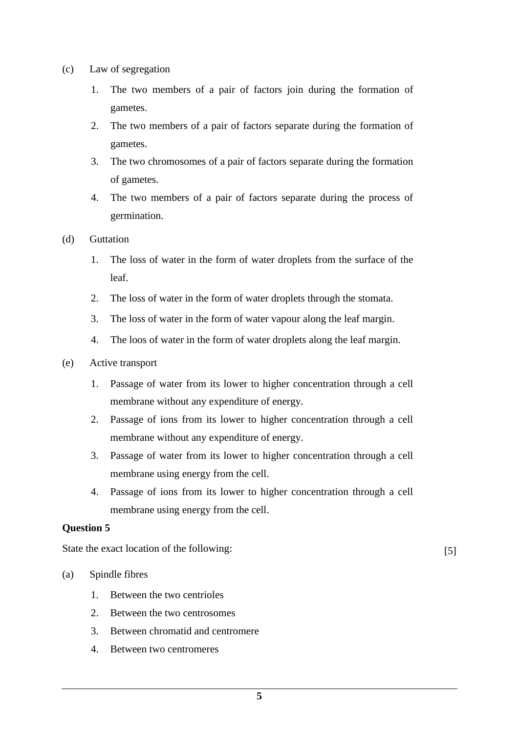- (c) Law of segregation
	- 1. The two members of a pair of factors join during the formation of gametes.
	- 2. The two members of a pair of factors separate during the formation of gametes.
	- 3. The two chromosomes of a pair of factors separate during the formation of gametes.
	- 4. The two members of a pair of factors separate during the process of germination.
- (d) Guttation
	- 1. The loss of water in the form of water droplets from the surface of the leaf.
	- 2. The loss of water in the form of water droplets through the stomata.
	- 3. The loss of water in the form of water vapour along the leaf margin.
	- 4. The loos of water in the form of water droplets along the leaf margin.
- (e) Active transport
	- 1. Passage of water from its lower to higher concentration through a cell membrane without any expenditure of energy.
	- 2. Passage of ions from its lower to higher concentration through a cell membrane without any expenditure of energy.
	- 3. Passage of water from its lower to higher concentration through a cell membrane using energy from the cell.
	- 4. Passage of ions from its lower to higher concentration through a cell membrane using energy from the cell.

State the exact location of the following: [5]

- (a) Spindle fibres
	- 1. Between the two centrioles
	- 2. Between the two centrosomes
	- 3. Between chromatid and centromere
	- 4. Between two centromeres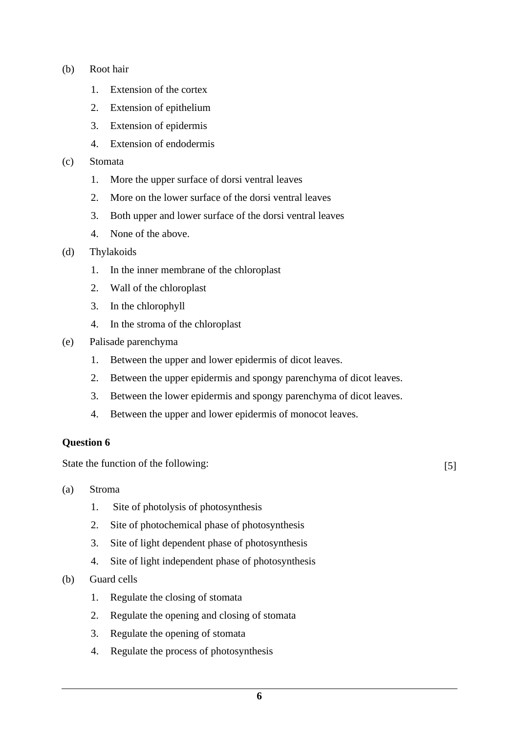- (b) Root hair
	- 1. Extension of the cortex
	- 2. Extension of epithelium
	- 3. Extension of epidermis
	- 4. Extension of endodermis
- (c) Stomata
	- 1. More the upper surface of dorsi ventral leaves
	- 2. More on the lower surface of the dorsi ventral leaves
	- 3. Both upper and lower surface of the dorsi ventral leaves
	- 4. None of the above.
- (d) Thylakoids
	- 1. In the inner membrane of the chloroplast
	- 2. Wall of the chloroplast
	- 3. In the chlorophyll
	- 4. In the stroma of the chloroplast
- (e) Palisade parenchyma
	- 1. Between the upper and lower epidermis of dicot leaves.
	- 2. Between the upper epidermis and spongy parenchyma of dicot leaves.
	- 3. Between the lower epidermis and spongy parenchyma of dicot leaves.
	- 4. Between the upper and lower epidermis of monocot leaves.

State the function of the following: [5]

- (a) Stroma
	- 1. Site of photolysis of photosynthesis
	- 2. Site of photochemical phase of photosynthesis
	- 3. Site of light dependent phase of photosynthesis
	- 4. Site of light independent phase of photosynthesis
- (b) Guard cells
	- 1. Regulate the closing of stomata
	- 2. Regulate the opening and closing of stomata
	- 3. Regulate the opening of stomata
	- 4. Regulate the process of photosynthesis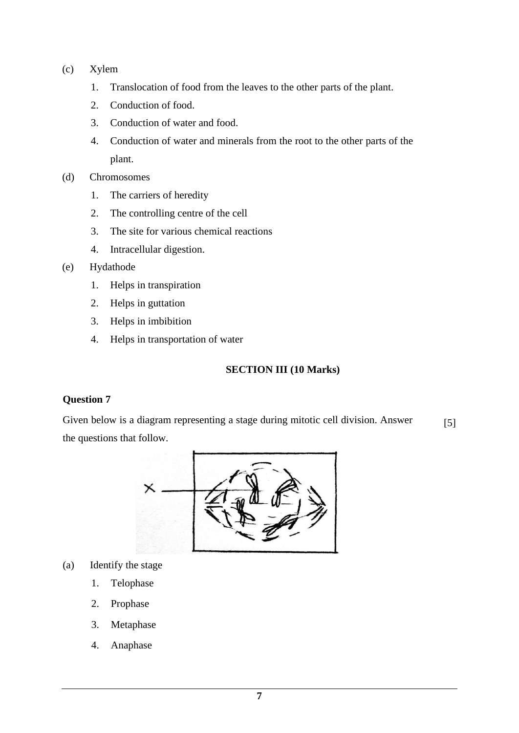- (c) Xylem
	- 1. Translocation of food from the leaves to the other parts of the plant.
	- 2. Conduction of food.
	- 3. Conduction of water and food.
	- 4. Conduction of water and minerals from the root to the other parts of the plant.
- (d) Chromosomes
	- 1. The carriers of heredity
	- 2. The controlling centre of the cell
	- 3. The site for various chemical reactions
	- 4. Intracellular digestion.
- (e) Hydathode
	- 1. Helps in transpiration
	- 2. Helps in guttation
	- 3. Helps in imbibition
	- 4. Helps in transportation of water

## **SECTION III (10 Marks)**

### **Question 7**

Given below is a diagram representing a stage during mitotic cell division. Answer the questions that follow. [5]



- (a) Identify the stage
	- 1. Telophase
	- 2. Prophase
	- 3. Metaphase
	- 4. Anaphase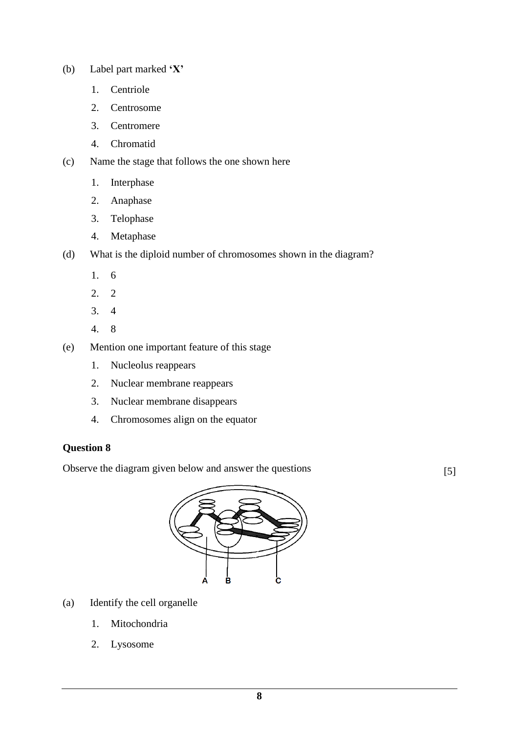- (b) Label part marked **'X'**
	- 1. Centriole
	- 2. Centrosome
	- 3. Centromere
	- 4. Chromatid
- (c) Name the stage that follows the one shown here
	- 1. Interphase
	- 2. Anaphase
	- 3. Telophase
	- 4. Metaphase
- (d) What is the diploid number of chromosomes shown in the diagram?
	- 1. 6
	- 2. 2
	- 3. 4
	- 4. 8
- (e) Mention one important feature of this stage
	- 1. Nucleolus reappears
	- 2. Nuclear membrane reappears
	- 3. Nuclear membrane disappears
	- 4. Chromosomes align on the equator

Observe the diagram given below and answer the questions [5]



- (a) Identify the cell organelle
	- 1. Mitochondria
	- 2. Lysosome